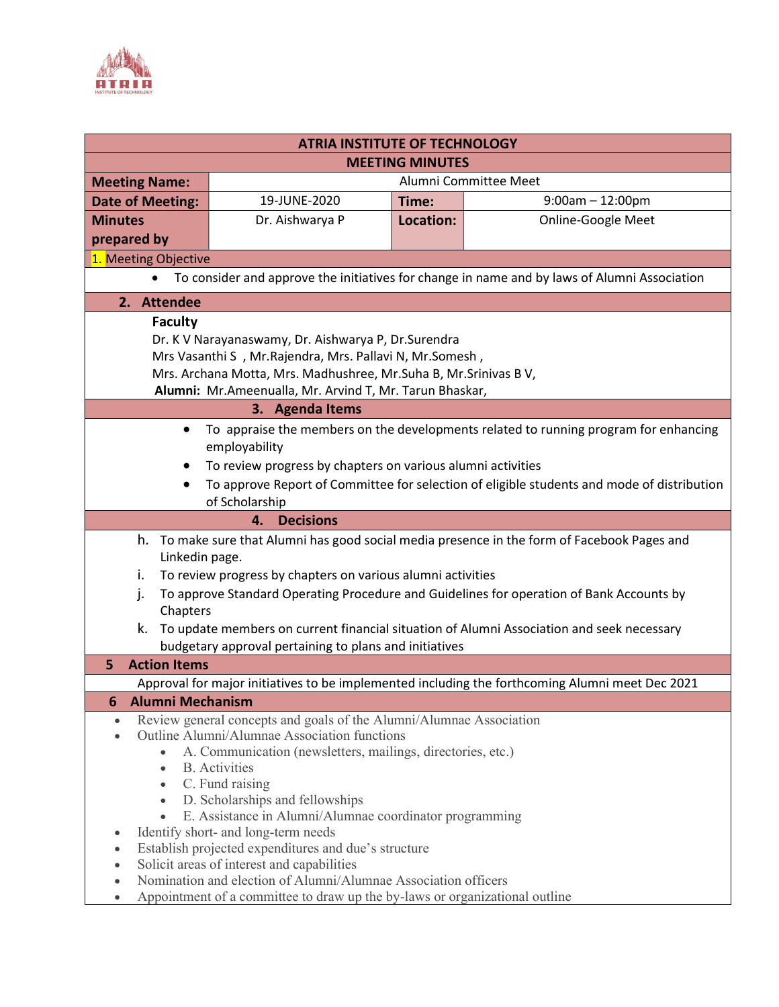

| <b>ATRIA INSTITUTE OF TECHNOLOGY</b>                                                                                        |                       |           |                           |
|-----------------------------------------------------------------------------------------------------------------------------|-----------------------|-----------|---------------------------|
| <b>MEETING MINUTES</b>                                                                                                      |                       |           |                           |
| <b>Meeting Name:</b>                                                                                                        | Alumni Committee Meet |           |                           |
| <b>Date of Meeting:</b>                                                                                                     | 19-JUNE-2020          | Time:     | $9:00am - 12:00pm$        |
| <b>Minutes</b>                                                                                                              | Dr. Aishwarya P       | Location: | <b>Online-Google Meet</b> |
| prepared by                                                                                                                 |                       |           |                           |
| 1. Meeting Objective                                                                                                        |                       |           |                           |
| To consider and approve the initiatives for change in name and by laws of Alumni Association                                |                       |           |                           |
| 2. Attendee                                                                                                                 |                       |           |                           |
| <b>Faculty</b>                                                                                                              |                       |           |                           |
| Dr. K V Narayanaswamy, Dr. Aishwarya P, Dr. Surendra                                                                        |                       |           |                           |
| Mrs Vasanthi S , Mr. Rajendra, Mrs. Pallavi N, Mr. Somesh,                                                                  |                       |           |                           |
| Mrs. Archana Motta, Mrs. Madhushree, Mr.Suha B, Mr.Srinivas B V,<br>Alumni: Mr.Ameenualla, Mr. Arvind T, Mr. Tarun Bhaskar, |                       |           |                           |
| 3. Agenda Items                                                                                                             |                       |           |                           |
| To appraise the members on the developments related to running program for enhancing                                        |                       |           |                           |
| employability                                                                                                               |                       |           |                           |
| To review progress by chapters on various alumni activities                                                                 |                       |           |                           |
| To approve Report of Committee for selection of eligible students and mode of distribution                                  |                       |           |                           |
| of Scholarship                                                                                                              |                       |           |                           |
| 4. Decisions                                                                                                                |                       |           |                           |
| h. To make sure that Alumni has good social media presence in the form of Facebook Pages and                                |                       |           |                           |
| Linkedin page.                                                                                                              |                       |           |                           |
| To review progress by chapters on various alumni activities<br>i.                                                           |                       |           |                           |
| To approve Standard Operating Procedure and Guidelines for operation of Bank Accounts by<br>j.<br>Chapters                  |                       |           |                           |
| To update members on current financial situation of Alumni Association and seek necessary<br>k.                             |                       |           |                           |
| budgetary approval pertaining to plans and initiatives                                                                      |                       |           |                           |
| <b>Action Items</b><br>5                                                                                                    |                       |           |                           |
| Approval for major initiatives to be implemented including the forthcoming Alumni meet Dec 2021                             |                       |           |                           |
| 6 Alumni Mechanism                                                                                                          |                       |           |                           |
| Review general concepts and goals of the Alumni/Alumnae Association<br>$\bullet$                                            |                       |           |                           |
| Outline Alumni/Alumnae Association functions<br>A. Communication (newsletters, mailings, directories, etc.)<br>$\bullet$    |                       |           |                           |
| <b>B.</b> Activities<br>$\bullet$                                                                                           |                       |           |                           |
| C. Fund raising<br>$\bullet$                                                                                                |                       |           |                           |
| D. Scholarships and fellowships<br>$\bullet$                                                                                |                       |           |                           |
| E. Assistance in Alumni/Alumnae coordinator programming                                                                     |                       |           |                           |
| Identify short- and long-term needs<br>Establish projected expenditures and due's structure                                 |                       |           |                           |
| Solicit areas of interest and capabilities                                                                                  |                       |           |                           |
| Nomination and election of Alumni/Alumnae Association officers                                                              |                       |           |                           |
| Appointment of a committee to draw up the by-laws or organizational outline                                                 |                       |           |                           |
|                                                                                                                             |                       |           |                           |